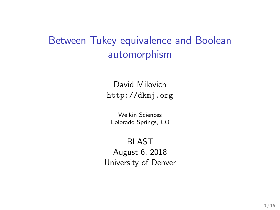# Between Tukey equivalence and Boolean automorphism

David Milovich <http://dkmj.org>

Welkin Sciences Colorado Springs, CO

BLAST August 6, 2018 University of Denver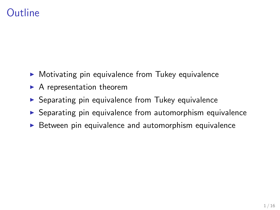## Outline

- $\triangleright$  Motivating pin equivalence from Tukey equivalence
- $\blacktriangleright$  A representation theorem
- $\triangleright$  Separating pin equivalence from Tukey equivalence
- $\triangleright$  Separating pin equivalence from automorphism equivalence
- $\triangleright$  Between pin equivalence and automorphism equivalence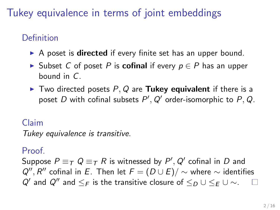# Tukey equivalence in terms of joint embeddings

## Definition

- $\triangleright$  A poset is **directed** if every finite set has an upper bound.
- ► Subset C of poset P is **cofinal** if every  $p \in P$  has an upper bound in C.
- $\blacktriangleright$  Two directed posets P, Q are Tukey equivalent if there is a poset D with cofinal subsets  $P', Q'$  order-isomorphic to  $P, Q$ .

### Claim

Tukey equivalence is transitive.

### Proof.

Suppose  $P \equiv_T Q \equiv_T R$  is witnessed by  $P', Q'$  cofinal in  $D$  and  $Q''$ , R'' cofinal in E. Then let  $F = (D \cup E)/ \sim$  where  $\sim$  identifies  $Q'$  and  $Q''$  and  $\leq_F$  is the transitive closure of  $\leq_D \cup \leq_F \cup \sim$ .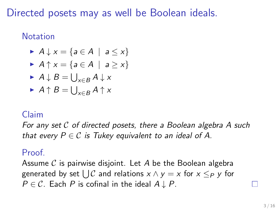Directed posets may as well be Boolean ideals.

#### **Notation**

$$
\blacktriangleright A \downarrow x = \{ a \in A \mid a \leq x \}
$$

$$
\blacktriangleright A \uparrow x = \{ a \in A \mid a \geq x \}
$$

$$
\blacktriangleright A \downarrow B = \bigcup_{x \in B} A \downarrow x
$$

$$
\blacktriangleright A \uparrow B = \bigcup_{x \in B} A \uparrow x
$$

#### Claim

For any set C of directed posets, there a Boolean algebra A such that every  $P \in \mathcal{C}$  is Tukey equivalent to an ideal of A.

#### Proof.

Assume  $\mathcal C$  is pairwise disjoint. Let A be the Boolean algebra generated by set  $\bigcup\mathcal{C}$  and relations  $x\wedge y=x$  for  $x\leq_P y$  for  $P \in \mathcal{C}$ . Each P is cofinal in the ideal  $A \downarrow P$ .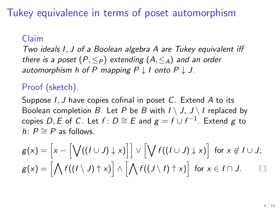Tukey equivalence in terms of poset automorphism

#### Claim

Two ideals I, J of a Boolean algebra A are Tukey equivalent iff there is a poset  $(P, \leq_P)$  extending  $(A, \leq_A)$  and an order automorphism h of P mapping  $P \downarrow I$  onto  $P \downarrow J$ .

#### Proof (sketch).

Suppose I, J have copies cofinal in poset C. Extend A to its Boolean completion B. Let P be B with  $I \setminus J$ ,  $J \setminus I$  replaced by copies D, E of C. Let  $f: D \cong E$  and  $g = f \cup f^{-1}$ . Extend  $g$  to h:  $P \cong P$  as follows.

$$
g(x) = \Big[x - \Big[\bigvee((I \cup J) \downarrow x)\Big]\Big] \vee \Big[\bigvee f((I \cup J) \downarrow x)\Big] \text{ for } x \notin I \cup J;
$$
  

$$
g(x) = \Big[\bigwedge f((I \setminus J) \uparrow x)\Big] \wedge \Big[\bigwedge f((J \setminus I) \uparrow x)\Big] \text{ for } x \in I \cap J.
$$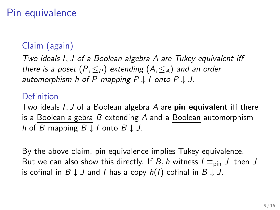# Pin equivalence

## Claim (again)

Two ideals I, J of a Boolean algebra A are Tukey equivalent iff there is a poset  $(P, \leq_P)$  extending  $(A, \leq_A)$  and an order automorphism h of P mapping  $P \downarrow I$  onto  $P \downarrow J$ .

#### Definition

Two ideals  $I, J$  of a Boolean algebra A are **pin equivalent** iff there is a Boolean algebra  $B$  extending  $A$  and a Boolean automorphism h of B mapping  $B \downarrow I$  onto  $B \downarrow J$ .

By the above claim, pin equivalence implies Tukey equivalence. But we can also show this directly. If B, h witness  $I \equiv_{\text{pin}} J$ , then J is cofinal in  $B \downarrow J$  and I has a copy  $h(I)$  cofinal in  $B \downarrow J$ .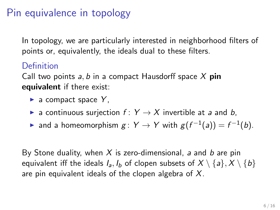# Pin equivalence in topology

In topology, we are particularly interested in neighborhood filters of points or, equivalently, the ideals dual to these filters.

#### Definition

Call two points  $a, b$  in a compact Hausdorff space X pin equivalent if there exist:

- $\blacktriangleright$  a compact space Y,
- **E** a continuous surjection  $f: Y \rightarrow X$  invertible at a and b,
- ► and a homeomorphism  $g: Y \rightarrow Y$  with  $g(f^{-1}(a)) = f^{-1}(b)$ .

By Stone duality, when X is zero-dimensional, a and b are pin equivalent iff the ideals  $I_a$ ,  $I_b$  of clopen subsets of  $X \setminus \{a\}$ ,  $X \setminus \{b\}$ are pin equivalent ideals of the clopen algebra of  $X$ .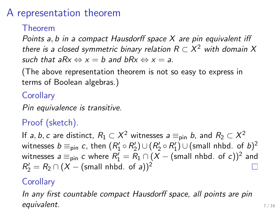## A representation theorem

#### Theorem

Points a, b in a compact Hausdorff space X are pin equivalent iff there is a closed symmetric binary relation  $R\subset X^2$  with domain  $X$ such that a $Rx \Leftrightarrow x = b$  and b $Rx \Leftrightarrow x = a$ .

(The above representation theorem is not so easy to express in terms of Boolean algebras.)

### **Corollary**

Pin equivalence is transitive.

### Proof (sketch).

If a, b, c are distinct,  $R_1\subset X^2$  witnesses  $\overline a\equiv_\mathsf{pin} b$ , and  $R_2\subset X^2$ witnesses  $b \equiv_\mathsf{pin} c$ , then  $(R'_1 \circ R'_2) \cup (R'_2 \circ R'_1) \cup (\mathsf{small} \; \mathsf{nhbd.} \; \mathsf{of} \; b)^2$ witnesses  $\displaystyle{a\equiv_{\sf pin} c}$  where  $R'_1=R_1\cap (X-{\sf (small\;nhbd.\;of\;}c))^2$  and  $R_2'=R_2\cap (X-(\text{small nhbd. of }a))^2$ 

#### **Corollary**

In any first countable compact Hausdorff space, all points are pin equivalent.  $7/16$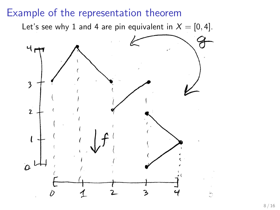## Example of the representation theorem

Let's see why 1 and 4 are pin equivalent in  $X = [0, 4]$ .

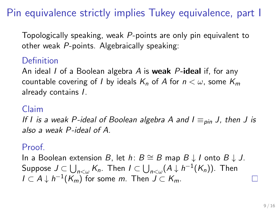# Pin equivalence strictly implies Tukey equivalence, part I

Topologically speaking, weak P-points are only pin equivalent to other weak P-points. Algebraically speaking:

## Definition

An ideal I of a Boolean algebra A is **weak** P-ideal if, for any countable covering of I by ideals  $K_n$  of A for  $n < \omega$ , some  $K_m$ already contains I.

#### Claim

If I is a weak P-ideal of Boolean algebra A and  $I \equiv_{\text{pin}} J$ , then J is also a weak P-ideal of A.

#### Proof.

In a Boolean extension B, let h:  $B \cong B$  map  $B \downarrow I$  onto  $B \downarrow J$ . Suppose  $J\subset\bigcup_{n<\omega}K_n.$  Then  $I\subset\bigcup_{n<\omega}(A\downarrow h^{-1}(K_n)).$  Then  $I \subset A \downarrow h^{-1}(K_m)$  for some  $m$ . Then  $J \subset K_m$ .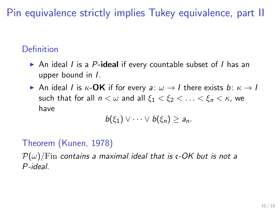# Pin equivalence strictly implies Tukey equivalence, part II

## Definition

- $\triangleright$  An ideal I is a P-ideal if every countable subset of I has an upper bound in I.
- An ideal I is  $\kappa$ -**OK** if for every a:  $\omega \rightarrow I$  there exists b:  $\kappa \rightarrow I$ such that for all  $n < \omega$  and all  $\xi_1 < \xi_2 < \ldots < \xi_n < \kappa$ , we have

$$
b(\xi_1)\vee\cdots\vee b(\xi_n)\geq a_n.
$$

### Theorem (Kunen, 1978)

 $\mathcal{P}(\omega)$ /Fin contains a maximal ideal that is c-OK but is not a P-ideal.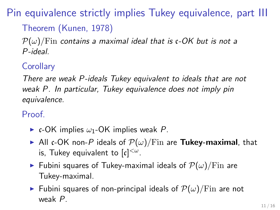Pin equivalence strictly implies Tukey equivalence, part III

## Theorem (Kunen, 1978)

 $\mathcal{P}(\omega)/\text{Fin}$  contains a maximal ideal that is c-OK but is not a P-ideal.

## **Corollary**

There are weak P-ideals Tukey equivalent to ideals that are not weak P. In particular, Tukey equivalence does not imply pin equivalence.

Proof.

- $\triangleright$  c-OK implies  $\omega_1$ -OK implies weak P.
- All c-OK non-P ideals of  $\mathcal{P}(\omega)/\mathrm{Fin}$  are Tukey-maximal, that is, Tukey equivalent to  $\lbrack \mathfrak{c} \rbrack^{<\omega}.$
- **Fubini squares of Tukey-maximal ideals of**  $\mathcal{P}(\omega)/\text{Fin}$  **are** Tukey-maximal.
- **Fubini squares of non-principal ideals of**  $\mathcal{P}(\omega)/\text{Fin}$  **are not** weak P.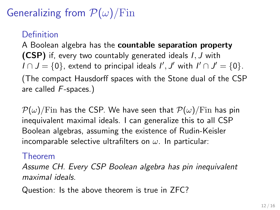# Generalizing from  $\mathcal{P}(\omega)$ /Fin

### Definition

A Boolean algebra has the countable separation property (CSP) if, every two countably generated ideals I, J with  $I \cap J = \{0\}$ , extend to principal ideals  $I', J'$  with  $I' \cap J' = \{0\}.$ (The compact Hausdorff spaces with the Stone dual of the CSP are called F-spaces.)

 $\mathcal{P}(\omega)/\text{Fin}$  has the CSP. We have seen that  $\mathcal{P}(\omega)/\text{Fin}$  has pin inequivalent maximal ideals. I can generalize this to all CSP Boolean algebras, assuming the existence of Rudin-Keisler incomparable selective ultrafilters on  $\omega$ . In particular:

#### Theorem

Assume CH. Every CSP Boolean algebra has pin inequivalent maximal ideals.

Question: Is the above theorem is true in ZFC?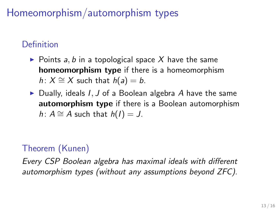# Homeomorphism/automorphism types

## Definition

- $\triangleright$  Points a, b in a topological space X have the same homeomorphism type if there is a homeomorphism h:  $X \cong X$  such that  $h(a) = b$ .
- $\triangleright$  Dually, ideals I, J of a Boolean algebra A have the same automorphism type if there is a Boolean automorphism h:  $A \cong A$  such that  $h(I) = J$ .

## Theorem (Kunen)

Every CSP Boolean algebra has maximal ideals with different automorphism types (without any assumptions beyond ZFC).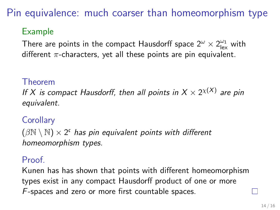Pin equivalence: much coarser than homeomorphism type

## Example

There are points in the compact Hausdorff space  $2^\omega\times 2^\omega_{\rm lex}$  with different  $\pi$ -characters, yet all these points are pin equivalent.

#### Theorem

If X is compact Hausdorff, then all points in  $X\times 2^{\chi(X)}$  are pin equivalent.

### **Corollary**

 $(\beta \mathbb{N} \setminus \mathbb{N}) \times 2^{\mathfrak{c}}$  has pin equivalent points with different homeomorphism types.

#### Proof.

Kunen has has shown that points with different homeomorphism types exist in any compact Hausdorff product of one or more F-spaces and zero or more first countable spaces.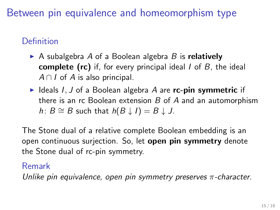Between pin equivalence and homeomorphism type

## Definition

- A subalgebra A of a Boolean algebra B is relatively **complete (rc)** if, for every principal ideal  $I$  of  $B$ , the ideal  $A \cap I$  of A is also principal.
- $\blacktriangleright$  Ideals I, J of a Boolean algebra A are rc-pin symmetric if there is an rc Boolean extension  $B$  of  $A$  and an automorphism h:  $B \cong B$  such that  $h(B \downarrow I) = B \downarrow J$ .

The Stone dual of a relative complete Boolean embedding is an open continuous surjection. So, let open pin symmetry denote the Stone dual of rc-pin symmetry.

#### Remark

Unlike pin equivalence, open pin symmetry preserves  $\pi$ -character.